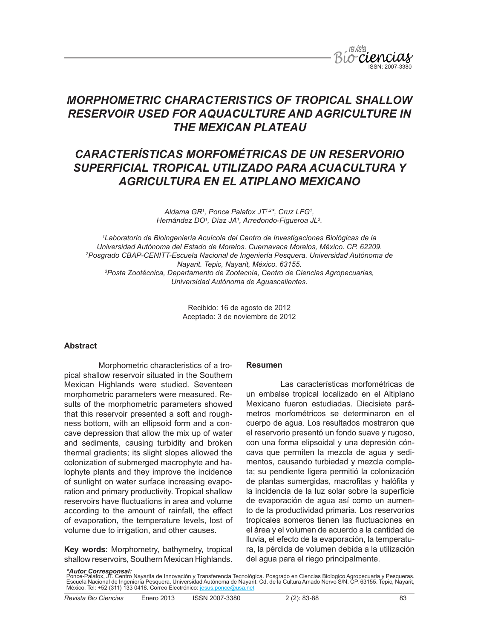

# *CARACTERÍSTICAS MORFOMÉTRICAS DE UN RESERVORIO SUPERFICIAL TROPICAL UTILIZADO PARA ACUACULTURA Y AGRICULTURA EN EL ATIPLANO MEXICANO*

*Aldama GR1 , Ponce Palafox JT1,2\*, Cruz LFG1 , Hernández DO1 , Díaz JA1 , Arredondo-Figueroa JL3 .*

*1 Laboratorio de Bioingeniería Acuícola del Centro de Investigaciones Biológicas de la Universidad Autónoma del Estado de Morelos. Cuernavaca Morelos, México. CP. 62209. 2 Posgrado CBAP-CENITT-Escuela Nacional de Ingeniería Pesquera. Universidad Autónoma de Nayarit. Tepic, Nayarit, México. 63155. 3 Posta Zootécnica, Departamento de Zootecnia, Centro de Ciencias Agropecuarias, Universidad Autónoma de Aguascalientes.*

> Recibido: 16 de agosto de 2012 Aceptado: 3 de noviembre de 2012

#### **Abstract**

Morphometric characteristics of a tropical shallow reservoir situated in the Southern Mexican Highlands were studied. Seventeen morphometric parameters were measured. Results of the morphometric parameters showed that this reservoir presented a soft and roughness bottom, with an ellipsoid form and a concave depression that allow the mix up of water and sediments, causing turbidity and broken thermal gradients; its slight slopes allowed the colonization of submerged macrophyte and halophyte plants and they improve the incidence of sunlight on water surface increasing evaporation and primary productivity. Tropical shallow reservoirs have fluctuations in area and volume according to the amount of rainfall, the effect of evaporation, the temperature levels, lost of volume due to irrigation, and other causes.

**Key words**: Morphometry, bathymetry, tropical shallow reservoirs, Southern Mexican Highlands.

## **Resumen**

Las características morfométricas de un embalse tropical localizado en el Altiplano Mexicano fueron estudiadas. Diecisiete parámetros morfométricos se determinaron en el cuerpo de agua. Los resultados mostraron que el reservorio presentó un fondo suave y rugoso, con una forma elipsoidal y una depresión cóncava que permiten la mezcla de agua y sedimentos, causando turbiedad y mezcla completa; su pendiente ligera permitió la colonización de plantas sumergidas, macrofitas y halófita y la incidencia de la luz solar sobre la superficie de evaporación de agua así como un aumento de la productividad primaria. Los reservorios tropicales someros tienen las fluctuaciones en el área y el volumen de acuerdo a la cantidad de lluvia, el efecto de la evaporación, la temperatura, la pérdida de volumen debida a la utilización del agua para el riego principalmente.

*\*Autor Corresponsal:*

Ponce-Palafox, JT. Centro Nayarita de Innovación y Transferencia Tecnológica. Posgrado en Ciencias Biologico Agropecuaria y Pesqueras.<br>Escuela Nacional de Ingeniería Pesquera. Universidad Autónoma de Nayarit. Cd. de la Cu México. Tel: +52 (311) 133 0418. Correo Electrónico: jesus.ponce@usa.net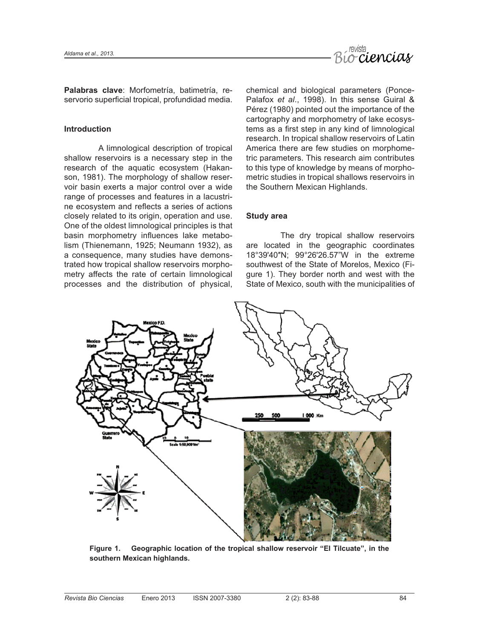

**Palabras clave**: Morfometría, batimetría, reservorio superficial tropical, profundidad media.

## **Introduction**

A limnological description of tropical shallow reservoirs is a necessary step in the research of the aquatic ecosystem (Hakanson, 1981). The morphology of shallow reservoir basin exerts a major control over a wide range of processes and features in a lacustrine ecosystem and reflects a series of actions closely related to its origin, operation and use. One of the oldest limnological principles is that basin morphometry influences lake metabolism (Thienemann, 1925; Neumann 1932), as a consequence, many studies have demonstrated how tropical shallow reservoirs morphometry affects the rate of certain limnological processes and the distribution of physical,

chemical and biological parameters (Ponce-Palafox *et al*., 1998). In this sense Guiral & Pérez (1980) pointed out the importance of the cartography and morphometry of lake ecosystems as a first step in any kind of limnological research. In tropical shallow reservoirs of Latin America there are few studies on morphometric parameters. This research aim contributes to this type of knowledge by means of morphometric studies in tropical shallows reservoirs in the Southern Mexican Highlands.

# **Study area**

The dry tropical shallow reservoirs are located in the geographic coordinates 18°39'40″N; 99°26'26.57"W in the extreme southwest of the State of Morelos, Mexico (Figure 1). They border north and west with the State of Mexico, south with the municipalities of



**Figure 1. Geographic location of the tropical shallow reservoir "El Tilcuate", in the southern Mexican highlands.**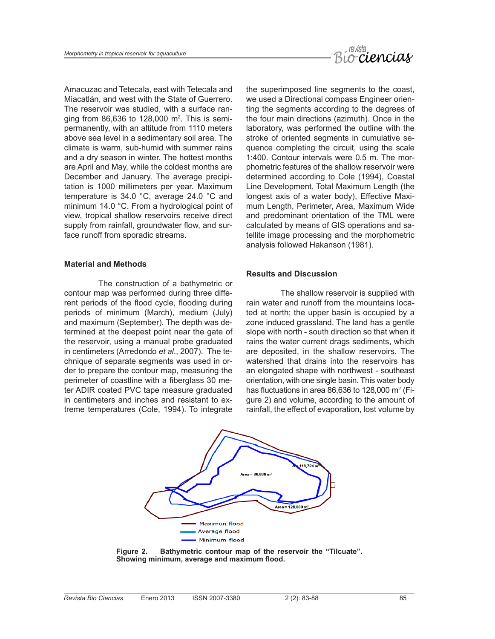

Amacuzac and Tetecala, east with Tetecala and Miacatlán, and west with the State of Guerrero. The reservoir was studied, with a surface ranging from 86,636 to 128,000 m<sup>2</sup>. This is semipermanently, with an altitude from 1110 meters above sea level in a sedimentary soil area. The climate is warm, sub-humid with summer rains and a dry season in winter. The hottest months are April and May, while the coldest months are December and January. The average precipitation is 1000 millimeters per year. Maximum temperature is 34.0 °C, average 24.0 °C and minimum 14.0 °C. From a hydrological point of view, tropical shallow reservoirs receive direct supply from rainfall, groundwater flow, and surface runoff from sporadic streams.

## **Material and Methods**

The construction of a bathymetric or contour map was performed during three different periods of the flood cycle, flooding during periods of minimum (March), medium (July) and maximum (September). The depth was determined at the deepest point near the gate of the reservoir, using a manual probe graduated in centimeters (Arredondo *et al*., 2007). The technique of separate segments was used in order to prepare the contour map, measuring the perimeter of coastline with a fiberglass 30 meter ADIR coated PVC tape measure graduated in centimeters and inches and resistant to extreme temperatures (Cole, 1994). To integrate the superimposed line segments to the coast, we used a Directional compass Engineer orienting the segments according to the degrees of the four main directions (azimuth). Once in the laboratory, was performed the outline with the stroke of oriented segments in cumulative sequence completing the circuit, using the scale 1:400. Contour intervals were 0.5 m. The morphometric features of the shallow reservoir were determined according to Cole (1994), Coastal Line Development, Total Maximum Length (the longest axis of a water body), Effective Maximum Length, Perimeter, Area, Maximum Wide and predominant orientation of the TML were calculated by means of GIS operations and satellite image processing and the morphometric analysis followed Hakanson (1981).

## **Results and Discussion**

The shallow reservoir is supplied with rain water and runoff from the mountains located at north; the upper basin is occupied by a zone induced grassland. The land has a gentle slope with north - south direction so that when it rains the water current drags sediments, which are deposited, in the shallow reservoirs. The watershed that drains into the reservoirs has an elongated shape with northwest - southeast orientation, with one single basin. This water body has fluctuations in area 86,636 to 128,000  $m^2$  (Figure 2) and volume, according to the amount of rainfall, the effect of evaporation, lost volume by



**Figure 2. Bathymetric contour map of the reservoir the "Tilcuate". Showing minimum, average and maximum flood.**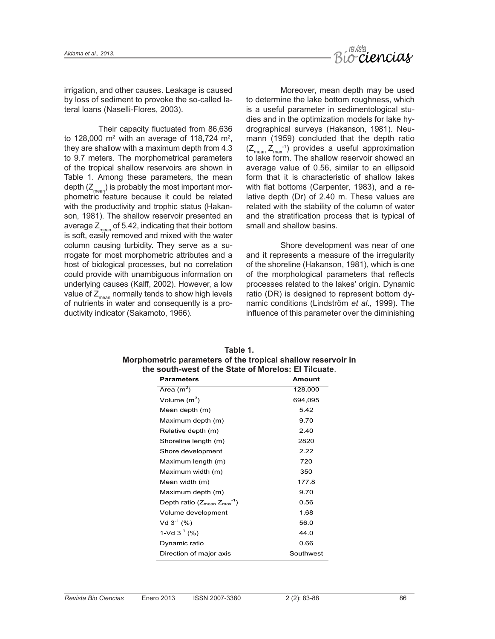

irrigation, and other causes. Leakage is caused by loss of sediment to provoke the so-called lateral loans (Naselli-Flores, 2003).

Their capacity fluctuated from 86,636 to 128,000  $\mathrm{m}^2$  with an average of 118,724  $\mathrm{m}^2$ , they are shallow with a maximum depth from 4.3 to 9.7 meters. The morphometrical parameters of the tropical shallow reservoirs are shown in Table 1. Among these parameters, the mean depth  $(Z_{mean})$  is probably the most important morphometric feature because it could be related with the productivity and trophic status (Hakanson, 1981). The shallow reservoir presented an average  $Z_{mean}$  of 5.42, indicating that their bottom is soft, easily removed and mixed with the water column causing turbidity. They serve as a surrogate for most morphometric attributes and a host of biological processes, but no correlation could provide with unambiguous information on underlying causes (Kalff, 2002). However, a low value of  $Z_{mean}$  normally tends to show high levels of nutrients in water and consequently is a productivity indicator (Sakamoto, 1966).

Moreover, mean depth may be used to determine the lake bottom roughness, which is a useful parameter in sedimentological studies and in the optimization models for lake hydrographical surveys (Hakanson, 1981). Neumann (1959) concluded that the depth ratio  $(Z_{\text{mean}} Z_{\text{max}}^{-1})$  provides a useful approximation to lake form. The shallow reservoir showed an average value of 0.56, similar to an ellipsoid form that it is characteristic of shallow lakes with flat bottoms (Carpenter, 1983), and a relative depth (Dr) of 2.40 m. These values are related with the stability of the column of water and the stratification process that is typical of small and shallow basins.

Shore development was near of one and it represents a measure of the irregularity of the shoreline (Hakanson, 1981), which is one of the morphological parameters that reflects processes related to the lakes' origin. Dynamic ratio (DR) is designed to represent bottom dynamic conditions (Lindström *et al*., 1999). The influence of this parameter over the diminishing

| <b>Parameters</b>                       | <b>Amount</b> |
|-----------------------------------------|---------------|
| Area $(m^2)$                            | 128,000       |
| Volume $(m^3)$                          | 694,095       |
| Mean depth (m)                          | 5.42          |
| Maximum depth (m)                       | 9.70          |
| Relative depth (m)                      | 2.40          |
| Shoreline length (m)                    | 2820          |
| Shore development                       | 2.22          |
| Maximum length (m)                      | 720           |
| Maximum width (m)                       | 350           |
| Mean width (m)                          | 177.8         |
| Maximum depth (m)                       | 9.70          |
| Depth ratio ( $Z_{mean} Z_{max}^{-1}$ ) | 0.56          |
| Volume development                      | 1.68          |
| Vd $3^{-1}$ (%)                         | 56.0          |
| 1-Vd $3^{-1}$ (%)                       | 44.0          |
| Dynamic ratio                           | 0.66          |
| Direction of major axis                 | Southwest     |
|                                         |               |

| Table 1.                                                     |
|--------------------------------------------------------------|
| Morphometric parameters of the tropical shallow reservoir in |
| the south-west of the State of Morelos: El Tilcuate          |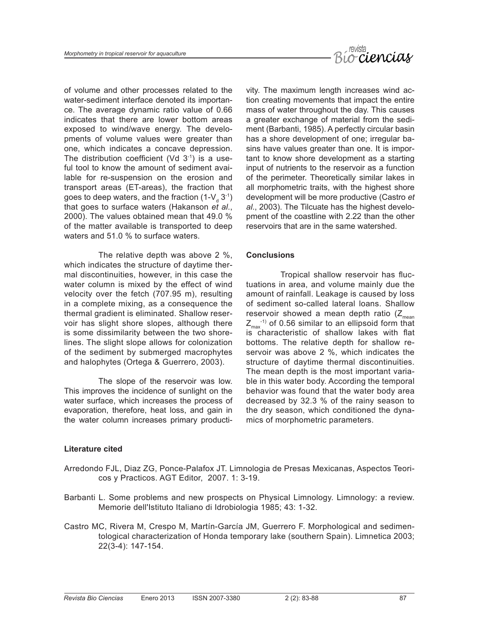

of volume and other processes related to the water-sediment interface denoted its importance. The average dynamic ratio value of 0.66 indicates that there are lower bottom areas exposed to wind/wave energy. The developments of volume values were greater than one, which indicates a concave depression. The distribution coefficient (Vd  $3<sup>-1</sup>$ ) is a useful tool to know the amount of sediment available for re-suspension on the erosion and transport areas (ET-areas), the fraction that goes to deep waters, and the fraction (1-V $_{\rm d}$  3<sup>-1</sup>) that goes to surface waters (Hakanson *et al*., 2000). The values obtained mean that 49.0 % of the matter available is transported to deep waters and 51.0 % to surface waters.

The relative depth was above 2 %, which indicates the structure of daytime thermal discontinuities, however, in this case the water column is mixed by the effect of wind velocity over the fetch (707.95 m), resulting in a complete mixing, as a consequence the thermal gradient is eliminated. Shallow reservoir has slight shore slopes, although there is some dissimilarity between the two shorelines. The slight slope allows for colonization of the sediment by submerged macrophytes and halophytes (Ortega & Guerrero, 2003).

The slope of the reservoir was low. This improves the incidence of sunlight on the water surface, which increases the process of evaporation, therefore, heat loss, and gain in the water column increases primary productivity. The maximum length increases wind action creating movements that impact the entire mass of water throughout the day. This causes a greater exchange of material from the sediment (Barbanti, 1985). A perfectly circular basin has a shore development of one; irregular basins have values greater than one. It is important to know shore development as a starting input of nutrients to the reservoir as a function of the perimeter. Theoretically similar lakes in all morphometric traits, with the highest shore development will be more productive (Castro *et al*., 2003). The Tilcuate has the highest development of the coastline with 2.22 than the other reservoirs that are in the same watershed.

## **Conclusions**

Tropical shallow reservoir has fluctuations in area, and volume mainly due the amount of rainfall. Leakage is caused by loss of sediment so-called lateral loans. Shallow reservoir showed a mean depth ratio  $(Z_{mean})$  $Z_{\text{max}}^{-1}$  of 0.56 similar to an ellipsoid form that is characteristic of shallow lakes with flat bottoms. The relative depth for shallow reservoir was above 2 %, which indicates the structure of daytime thermal discontinuities. The mean depth is the most important variable in this water body. According the temporal behavior was found that the water body area decreased by 32.3 % of the rainy season to the dry season, which conditioned the dynamics of morphometric parameters.

## **Literature cited**

- Arredondo FJL, Diaz ZG, Ponce-Palafox JT. Limnologia de Presas Mexicanas, Aspectos Teoricos y Practicos. AGT Editor, 2007. 1: 3-19.
- Barbanti L. Some problems and new prospects on Physical Limnology. Limnology: a review. Memorie dell'Istituto Italiano di Idrobiologia 1985; 43: 1-32.
- Castro MC, Rivera M, Crespo M, Martín-García JM, Guerrero F. Morphological and sedimentological characterization of Honda temporary lake (southern Spain). Limnetica 2003; 22(3-4): 147-154.